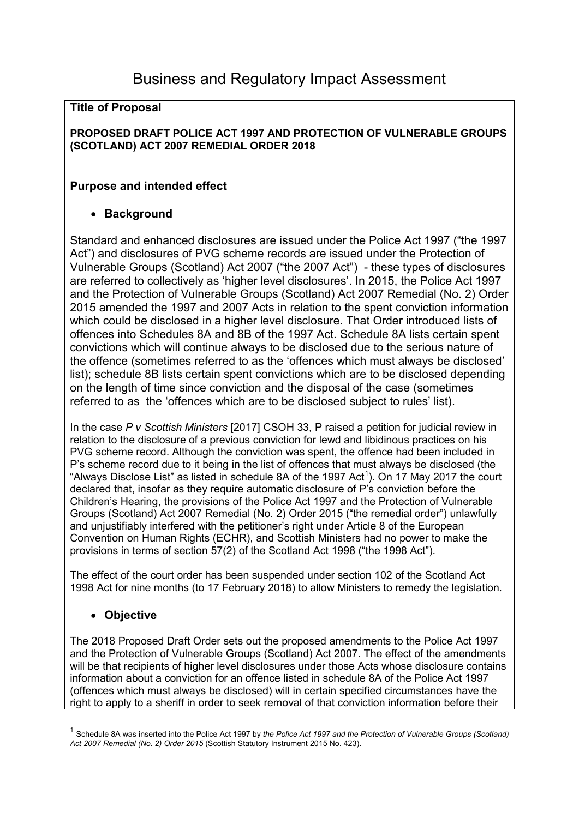#### **Title of Proposal**

#### **PROPOSED DRAFT POLICE ACT 1997 AND PROTECTION OF VULNERABLE GROUPS (SCOTLAND) ACT 2007 REMEDIAL ORDER 2018**

# **Purpose and intended effect**

# • **Background**

Standard and enhanced disclosures are issued under the Police Act 1997 ("the 1997 Act") and disclosures of PVG scheme records are issued under the Protection of Vulnerable Groups (Scotland) Act 2007 ("the 2007 Act") - these types of disclosures are referred to collectively as 'higher level disclosures'. In 2015, the Police Act 1997 and the Protection of Vulnerable Groups (Scotland) Act 2007 Remedial (No. 2) Order 2015 amended the 1997 and 2007 Acts in relation to the spent conviction information which could be disclosed in a higher level disclosure. That Order introduced lists of offences into Schedules 8A and 8B of the 1997 Act. Schedule 8A lists certain spent convictions which will continue always to be disclosed due to the serious nature of the offence (sometimes referred to as the 'offences which must always be disclosed' list); schedule 8B lists certain spent convictions which are to be disclosed depending on the length of time since conviction and the disposal of the case (sometimes referred to as the 'offences which are to be disclosed subject to rules' list).

In the case *P v Scottish Ministers* [2017] CSOH 33, P raised a petition for judicial review in relation to the disclosure of a previous conviction for lewd and libidinous practices on his PVG scheme record. Although the conviction was spent, the offence had been included in P's scheme record due to it being in the list of offences that must always be disclosed (the "Always Disclose List" as listed in schedule 8A of the [1](#page-0-0)997 Act<sup>1</sup>). On 17 May 2017 the court declared that, insofar as they require automatic disclosure of P's conviction before the Children's Hearing, the provisions of the Police Act 1997 and the Protection of Vulnerable Groups (Scotland) Act 2007 Remedial (No. 2) Order 2015 ("the remedial order") unlawfully and unjustifiably interfered with the petitioner's right under Article 8 of the European Convention on Human Rights (ECHR), and Scottish Ministers had no power to make the provisions in terms of section 57(2) of the Scotland Act 1998 ("the 1998 Act").

The effect of the court order has been suspended under section 102 of the Scotland Act 1998 Act for nine months (to 17 February 2018) to allow Ministers to remedy the legislation.

# • **Objective**

The 2018 Proposed Draft Order sets out the proposed amendments to the Police Act 1997 and the Protection of Vulnerable Groups (Scotland) Act 2007. The effect of the amendments will be that recipients of higher level disclosures under those Acts whose disclosure contains information about a conviction for an offence listed in schedule 8A of the Police Act 1997 (offences which must always be disclosed) will in certain specified circumstances have the right to apply to a sheriff in order to seek removal of that conviction information before their

<span id="page-0-0"></span> <sup>1</sup> Schedule 8A was inserted into the Police Act 1997 by *the Police Act 1997 and the Protection of Vulnerable Groups (Scotland) Act 2007 Remedial (No. 2) Order 2015* (Scottish Statutory Instrument 2015 No. 423).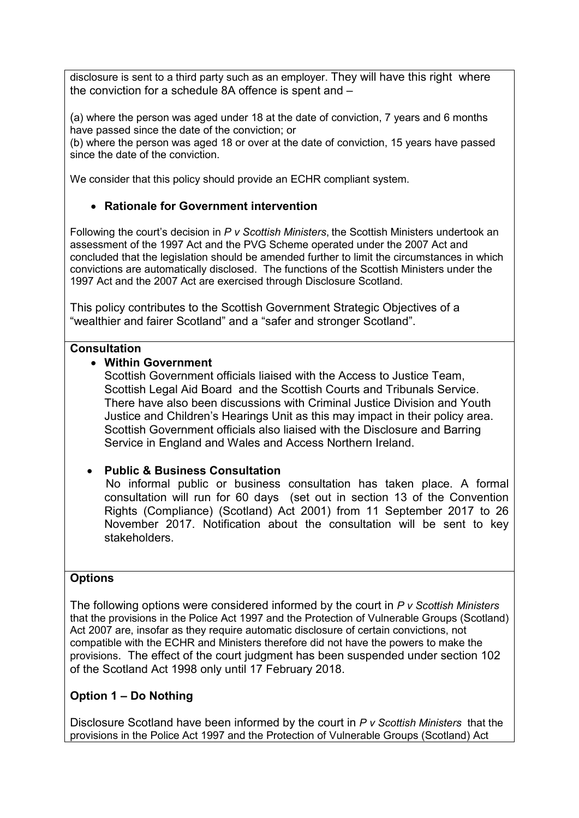disclosure is sent to a third party such as an employer. They will have this right where the conviction for a schedule 8A offence is spent and –

(a) where the person was aged under 18 at the date of conviction, 7 years and 6 months have passed since the date of the conviction; or

(b) where the person was aged 18 or over at the date of conviction, 15 years have passed since the date of the conviction.

We consider that this policy should provide an ECHR compliant system.

# • **Rationale for Government intervention**

Following the court's decision in *P v Scottish Ministers*, the Scottish Ministers undertook an assessment of the 1997 Act and the PVG Scheme operated under the 2007 Act and concluded that the legislation should be amended further to limit the circumstances in which convictions are automatically disclosed. The functions of the Scottish Ministers under the 1997 Act and the 2007 Act are exercised through Disclosure Scotland.

This policy contributes to the Scottish Government Strategic Objectives of a "wealthier and fairer Scotland" and a "safer and stronger Scotland".

### **Consultation**

# • **Within Government**

Scottish Government officials liaised with the Access to Justice Team, Scottish Legal Aid Board and the Scottish Courts and Tribunals Service. There have also been discussions with Criminal Justice Division and Youth Justice and Children's Hearings Unit as this may impact in their policy area. Scottish Government officials also liaised with the Disclosure and Barring Service in England and Wales and Access Northern Ireland.

# • **Public & Business Consultation**

 No informal public or business consultation has taken place. A formal consultation will run for 60 days (set out in section 13 of the Convention Rights (Compliance) (Scotland) Act 2001) from 11 September 2017 to 26 November 2017. Notification about the consultation will be sent to key stakeholders.

# **Options**

The following options were considered informed by the court in *P v Scottish Ministers*  that the provisions in the Police Act 1997 and the Protection of Vulnerable Groups (Scotland) Act 2007 are, insofar as they require automatic disclosure of certain convictions, not compatible with the ECHR and Ministers therefore did not have the powers to make the provisions. The effect of the court judgment has been suspended under section 102 of the Scotland Act 1998 only until 17 February 2018.

# **Option 1 – Do Nothing**

Disclosure Scotland have been informed by the court in *P v Scottish Ministers* that the provisions in the Police Act 1997 and the Protection of Vulnerable Groups (Scotland) Act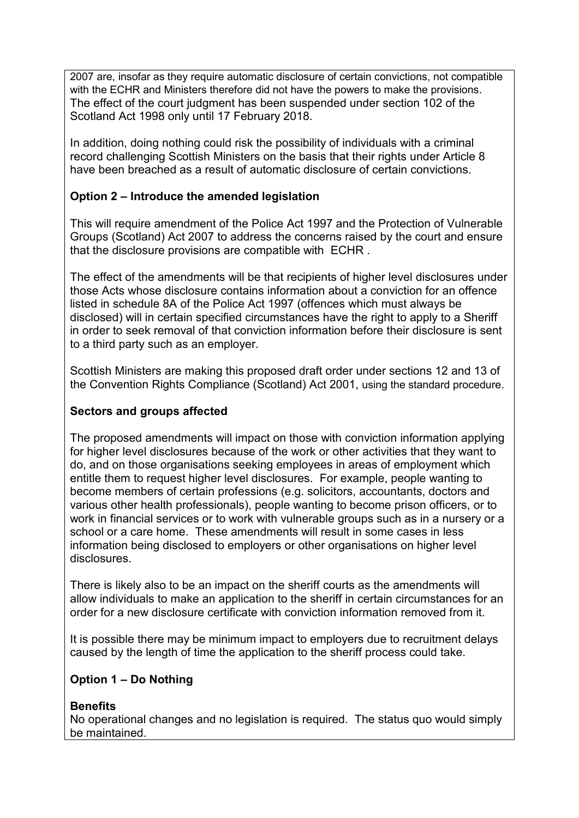2007 are, insofar as they require automatic disclosure of certain convictions, not compatible with the ECHR and Ministers therefore did not have the powers to make the provisions. The effect of the court judgment has been suspended under section 102 of the Scotland Act 1998 only until 17 February 2018.

In addition, doing nothing could risk the possibility of individuals with a criminal record challenging Scottish Ministers on the basis that their rights under Article 8 have been breached as a result of automatic disclosure of certain convictions.

# **Option 2 – Introduce the amended legislation**

This will require amendment of the Police Act 1997 and the Protection of Vulnerable Groups (Scotland) Act 2007 to address the concerns raised by the court and ensure that the disclosure provisions are compatible with ECHR .

The effect of the amendments will be that recipients of higher level disclosures under those Acts whose disclosure contains information about a conviction for an offence listed in schedule 8A of the Police Act 1997 (offences which must always be disclosed) will in certain specified circumstances have the right to apply to a Sheriff in order to seek removal of that conviction information before their disclosure is sent to a third party such as an employer.

Scottish Ministers are making this proposed draft order under sections 12 and 13 of the Convention Rights Compliance (Scotland) Act 2001, using the standard procedure.

# **Sectors and groups affected**

The proposed amendments will impact on those with conviction information applying for higher level disclosures because of the work or other activities that they want to do, and on those organisations seeking employees in areas of employment which entitle them to request higher level disclosures. For example, people wanting to become members of certain professions (e.g. solicitors, accountants, doctors and various other health professionals), people wanting to become prison officers, or to work in financial services or to work with vulnerable groups such as in a nursery or a school or a care home. These amendments will result in some cases in less information being disclosed to employers or other organisations on higher level disclosures.

There is likely also to be an impact on the sheriff courts as the amendments will allow individuals to make an application to the sheriff in certain circumstances for an order for a new disclosure certificate with conviction information removed from it.

It is possible there may be minimum impact to employers due to recruitment delays caused by the length of time the application to the sheriff process could take.

# **Option 1 – Do Nothing**

# **Benefits**

No operational changes and no legislation is required. The status quo would simply be maintained.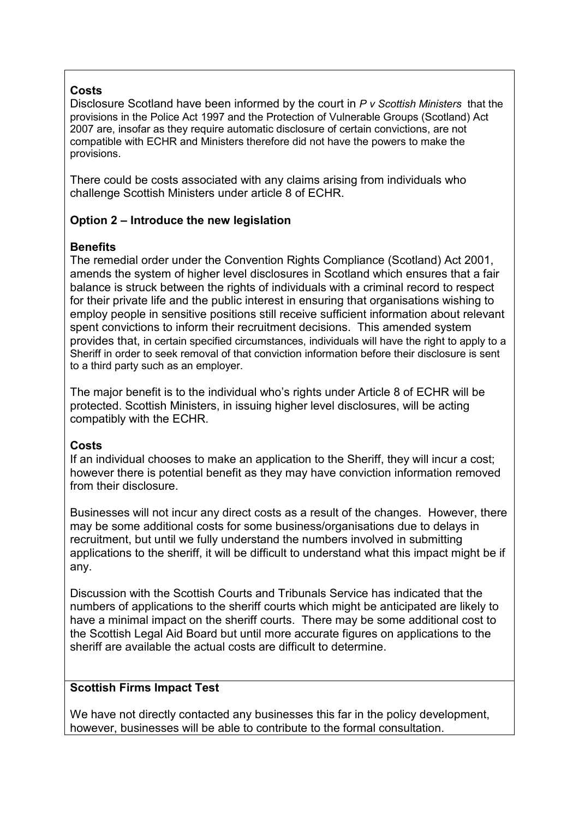#### **Costs**

Disclosure Scotland have been informed by the court in *P v Scottish Ministers* that the provisions in the Police Act 1997 and the Protection of Vulnerable Groups (Scotland) Act 2007 are, insofar as they require automatic disclosure of certain convictions, are not compatible with ECHR and Ministers therefore did not have the powers to make the provisions.

There could be costs associated with any claims arising from individuals who challenge Scottish Ministers under article 8 of ECHR.

# **Option 2 – Introduce the new legislation**

### **Benefits**

The remedial order under the Convention Rights Compliance (Scotland) Act 2001, amends the system of higher level disclosures in Scotland which ensures that a fair balance is struck between the rights of individuals with a criminal record to respect for their private life and the public interest in ensuring that organisations wishing to employ people in sensitive positions still receive sufficient information about relevant spent convictions to inform their recruitment decisions. This amended system provides that, in certain specified circumstances, individuals will have the right to apply to a Sheriff in order to seek removal of that conviction information before their disclosure is sent to a third party such as an employer.

The major benefit is to the individual who's rights under Article 8 of ECHR will be protected. Scottish Ministers, in issuing higher level disclosures, will be acting compatibly with the ECHR.

#### **Costs**

If an individual chooses to make an application to the Sheriff, they will incur a cost; however there is potential benefit as they may have conviction information removed from their disclosure.

Businesses will not incur any direct costs as a result of the changes. However, there may be some additional costs for some business/organisations due to delays in recruitment, but until we fully understand the numbers involved in submitting applications to the sheriff, it will be difficult to understand what this impact might be if any.

Discussion with the Scottish Courts and Tribunals Service has indicated that the numbers of applications to the sheriff courts which might be anticipated are likely to have a minimal impact on the sheriff courts. There may be some additional cost to the Scottish Legal Aid Board but until more accurate figures on applications to the sheriff are available the actual costs are difficult to determine.

#### **Scottish Firms Impact Test**

We have not directly contacted any businesses this far in the policy development, however, businesses will be able to contribute to the formal consultation.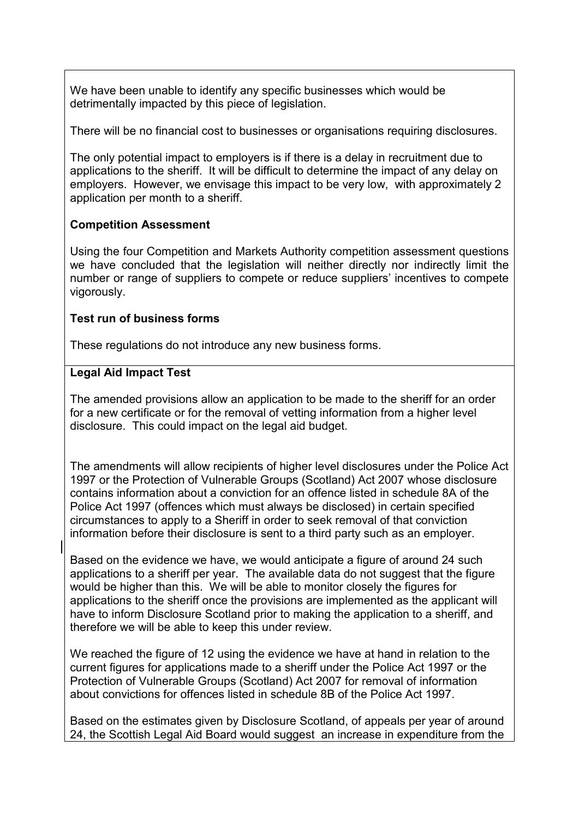We have been unable to identify any specific businesses which would be detrimentally impacted by this piece of legislation.

There will be no financial cost to businesses or organisations requiring disclosures.

The only potential impact to employers is if there is a delay in recruitment due to applications to the sheriff. It will be difficult to determine the impact of any delay on employers. However, we envisage this impact to be very low, with approximately 2 application per month to a sheriff.

# **Competition Assessment**

Using the four Competition and Markets Authority competition assessment questions we have concluded that the legislation will neither directly nor indirectly limit the number or range of suppliers to compete or reduce suppliers' incentives to compete vigorously.

### **Test run of business forms**

These regulations do not introduce any new business forms.

### **Legal Aid Impact Test**

The amended provisions allow an application to be made to the sheriff for an order for a new certificate or for the removal of vetting information from a higher level disclosure. This could impact on the legal aid budget.

The amendments will allow recipients of higher level disclosures under the Police Act 1997 or the Protection of Vulnerable Groups (Scotland) Act 2007 whose disclosure contains information about a conviction for an offence listed in schedule 8A of the Police Act 1997 (offences which must always be disclosed) in certain specified circumstances to apply to a Sheriff in order to seek removal of that conviction information before their disclosure is sent to a third party such as an employer.

Based on the evidence we have, we would anticipate a figure of around 24 such applications to a sheriff per year. The available data do not suggest that the figure would be higher than this. We will be able to monitor closely the figures for applications to the sheriff once the provisions are implemented as the applicant will have to inform Disclosure Scotland prior to making the application to a sheriff, and therefore we will be able to keep this under review.

We reached the figure of 12 using the evidence we have at hand in relation to the current figures for applications made to a sheriff under the Police Act 1997 or the Protection of Vulnerable Groups (Scotland) Act 2007 for removal of information about convictions for offences listed in schedule 8B of the Police Act 1997.

Based on the estimates given by Disclosure Scotland, of appeals per year of around 24, the Scottish Legal Aid Board would suggest an increase in expenditure from the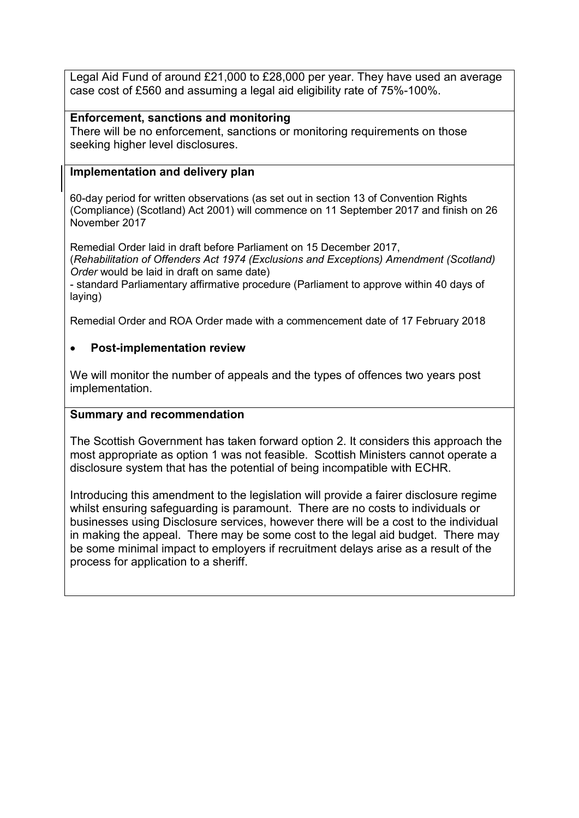Legal Aid Fund of around £21,000 to £28,000 per year. They have used an average case cost of £560 and assuming a legal aid eligibility rate of 75%-100%.

### **Enforcement, sanctions and monitoring**

There will be no enforcement, sanctions or monitoring requirements on those seeking higher level disclosures.

### **Implementation and delivery plan**

60-day period for written observations (as set out in section 13 of Convention Rights (Compliance) (Scotland) Act 2001) will commence on 11 September 2017 and finish on 26 November 2017

Remedial Order laid in draft before Parliament on 15 December 2017,

(*Rehabilitation of Offenders Act 1974 (Exclusions and Exceptions) Amendment (Scotland) Order* would be laid in draft on same date)

- standard Parliamentary affirmative procedure (Parliament to approve within 40 days of laying)

Remedial Order and ROA Order made with a commencement date of 17 February 2018

### • **Post-implementation review**

We will monitor the number of appeals and the types of offences two years post implementation.

#### **Summary and recommendation**

The Scottish Government has taken forward option 2. It considers this approach the most appropriate as option 1 was not feasible. Scottish Ministers cannot operate a disclosure system that has the potential of being incompatible with ECHR.

Introducing this amendment to the legislation will provide a fairer disclosure regime whilst ensuring safeguarding is paramount. There are no costs to individuals or businesses using Disclosure services, however there will be a cost to the individual in making the appeal. There may be some cost to the legal aid budget. There may be some minimal impact to employers if recruitment delays arise as a result of the process for application to a sheriff.